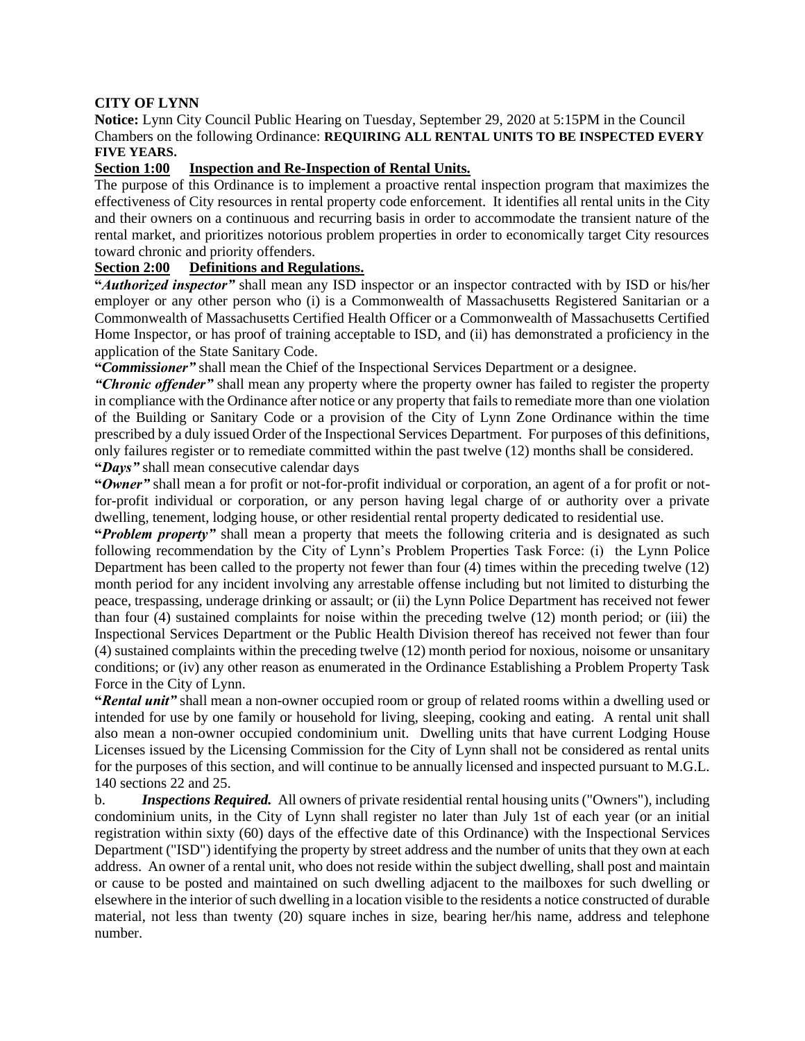## **CITY OF LYNN**

**Notice:** Lynn City Council Public Hearing on Tuesday, September 29, 2020 at 5:15PM in the Council Chambers on the following Ordinance: **REQUIRING ALL RENTAL UNITS TO BE INSPECTED EVERY FIVE YEARS.**

## **Section 1:00 Inspection and Re-Inspection of Rental Units.**

The purpose of this Ordinance is to implement a proactive rental inspection program that maximizes the effectiveness of City resources in rental property code enforcement. It identifies all rental units in the City and their owners on a continuous and recurring basis in order to accommodate the transient nature of the rental market, and prioritizes notorious problem properties in order to economically target City resources toward chronic and priority offenders.

## **Section 2:00 Definitions and Regulations.**

**"***Authorized inspector"* shall mean any ISD inspector or an inspector contracted with by ISD or his/her employer or any other person who (i) is a Commonwealth of Massachusetts Registered Sanitarian or a Commonwealth of Massachusetts Certified Health Officer or a Commonwealth of Massachusetts Certified Home Inspector, or has proof of training acceptable to ISD, and (ii) has demonstrated a proficiency in the application of the State Sanitary Code.

**"***Commissioner"* shall mean the Chief of the Inspectional Services Department or a designee.

*"Chronic offender"* shall mean any property where the property owner has failed to register the property in compliance with the Ordinance after notice or any property that fails to remediate more than one violation of the Building or Sanitary Code or a provision of the City of Lynn Zone Ordinance within the time prescribed by a duly issued Order of the Inspectional Services Department. For purposes of this definitions, only failures register or to remediate committed within the past twelve (12) months shall be considered. **"***Days"* shall mean consecutive calendar days

**"***Owner"* shall mean a for profit or not-for-profit individual or corporation, an agent of a for profit or notfor-profit individual or corporation, or any person having legal charge of or authority over a private dwelling, tenement, lodging house, or other residential rental property dedicated to residential use.

**"***Problem property"* shall mean a property that meets the following criteria and is designated as such following recommendation by the City of Lynn's Problem Properties Task Force: (i) the Lynn Police Department has been called to the property not fewer than four (4) times within the preceding twelve (12) month period for any incident involving any arrestable offense including but not limited to disturbing the peace, trespassing, underage drinking or assault; or (ii) the Lynn Police Department has received not fewer than four (4) sustained complaints for noise within the preceding twelve (12) month period; or (iii) the Inspectional Services Department or the Public Health Division thereof has received not fewer than four (4) sustained complaints within the preceding twelve (12) month period for noxious, noisome or unsanitary conditions; or (iv) any other reason as enumerated in the Ordinance Establishing a Problem Property Task Force in the City of Lynn.

**"***Rental unit"* shall mean a non-owner occupied room or group of related rooms within a dwelling used or intended for use by one family or household for living, sleeping, cooking and eating. A rental unit shall also mean a non-owner occupied condominium unit. Dwelling units that have current Lodging House Licenses issued by the Licensing Commission for the City of Lynn shall not be considered as rental units for the purposes of this section, and will continue to be annually licensed and inspected pursuant to M.G.L. 140 sections 22 and 25.

b. *Inspections Required.* All owners of private residential rental housing units ("Owners"), including condominium units, in the City of Lynn shall register no later than July 1st of each year (or an initial registration within sixty (60) days of the effective date of this Ordinance) with the Inspectional Services Department ("ISD") identifying the property by street address and the number of units that they own at each address. An owner of a rental unit, who does not reside within the subject dwelling, shall post and maintain or cause to be posted and maintained on such dwelling adjacent to the mailboxes for such dwelling or elsewhere in the interior of such dwelling in a location visible to the residents a notice constructed of durable material, not less than twenty (20) square inches in size, bearing her/his name, address and telephone number.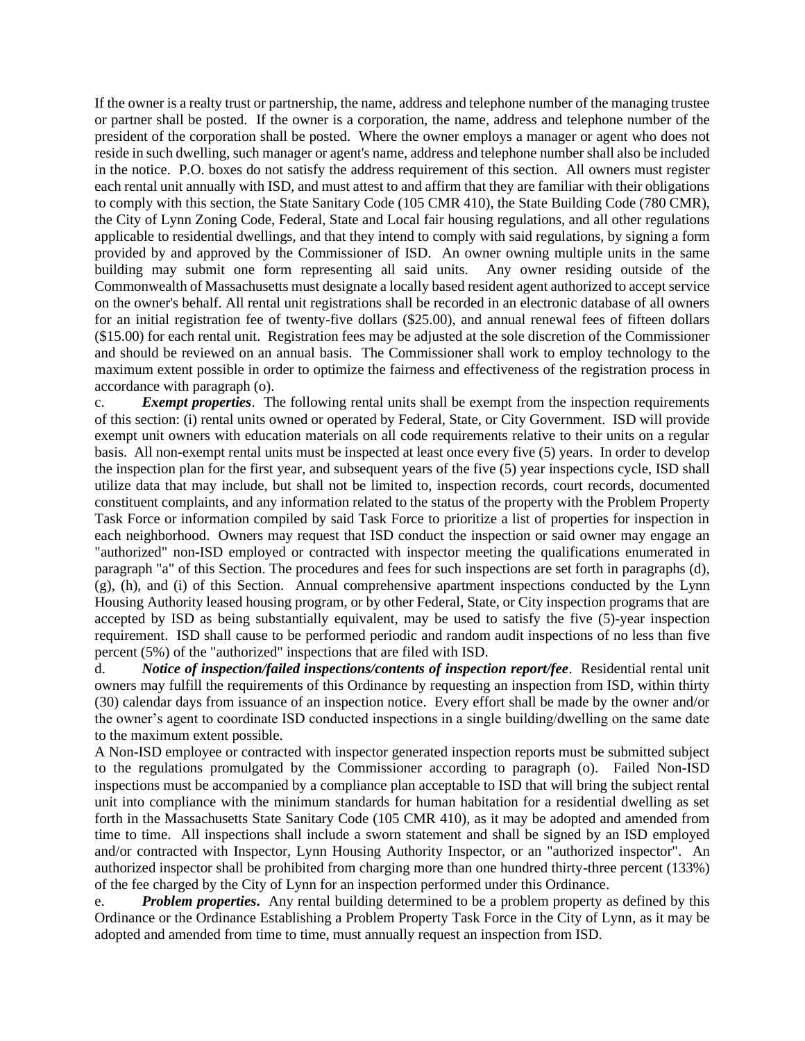If the owner is a realty trust or partnership, the name, address and telephone number of the managing trustee or partner shall be posted. If the owner is a corporation, the name, address and telephone number of the president of the corporation shall be posted. Where the owner employs a manager or agent who does not reside in such dwelling, such manager or agent's name, address and telephone number shall also be included in the notice. P.O. boxes do not satisfy the address requirement of this section. All owners must register each rental unit annually with ISD, and must attest to and affirm that they are familiar with their obligations to comply with this section, the State Sanitary Code (105 CMR 410), the State Building Code (780 CMR), the City of Lynn Zoning Code, Federal, State and Local fair housing regulations, and all other regulations applicable to residential dwellings, and that they intend to comply with said regulations, by signing a form provided by and approved by the Commissioner of ISD. An owner owning multiple units in the same building may submit one form representing all said units. Any owner residing outside of the Commonwealth of Massachusetts must designate a locally based resident agent authorized to accept service on the owner's behalf. All rental unit registrations shall be recorded in an electronic database of all owners for an initial registration fee of twenty-five dollars (\$25.00), and annual renewal fees of fifteen dollars (\$15.00) for each rental unit. Registration fees may be adjusted at the sole discretion of the Commissioner and should be reviewed on an annual basis. The Commissioner shall work to employ technology to the maximum extent possible in order to optimize the fairness and effectiveness of the registration process in accordance with paragraph (o).

c. *Exempt properties*.The following rental units shall be exempt from the inspection requirements of this section: (i) rental units owned or operated by Federal, State, or City Government. ISD will provide exempt unit owners with education materials on all code requirements relative to their units on a regular basis. All non-exempt rental units must be inspected at least once every five (5) years. In order to develop the inspection plan for the first year, and subsequent years of the five (5) year inspections cycle, ISD shall utilize data that may include, but shall not be limited to, inspection records, court records, documented constituent complaints, and any information related to the status of the property with the Problem Property Task Force or information compiled by said Task Force to prioritize a list of properties for inspection in each neighborhood. Owners may request that ISD conduct the inspection or said owner may engage an "authorized" non-ISD employed or contracted with inspector meeting the qualifications enumerated in paragraph "a" of this Section. The procedures and fees for such inspections are set forth in paragraphs (d), (g), (h), and (i) of this Section. Annual comprehensive apartment inspections conducted by the Lynn Housing Authority leased housing program, or by other Federal, State, or City inspection programs that are accepted by ISD as being substantially equivalent, may be used to satisfy the five (5)-year inspection requirement. ISD shall cause to be performed periodic and random audit inspections of no less than five percent (5%) of the "authorized" inspections that are filed with ISD.

d. *Notice of inspection/failed inspections/contents of inspection report/fee*. Residential rental unit owners may fulfill the requirements of this Ordinance by requesting an inspection from ISD, within thirty (30) calendar days from issuance of an inspection notice. Every effort shall be made by the owner and/or the owner's agent to coordinate ISD conducted inspections in a single building/dwelling on the same date to the maximum extent possible.

A Non-ISD employee or contracted with inspector generated inspection reports must be submitted subject to the regulations promulgated by the Commissioner according to paragraph (o). Failed Non-ISD inspections must be accompanied by a compliance plan acceptable to ISD that will bring the subject rental unit into compliance with the minimum standards for human habitation for a residential dwelling as set forth in the Massachusetts State Sanitary Code (105 CMR 410), as it may be adopted and amended from time to time. All inspections shall include a sworn statement and shall be signed by an ISD employed and/or contracted with Inspector, Lynn Housing Authority Inspector, or an "authorized inspector". An authorized inspector shall be prohibited from charging more than one hundred thirty-three percent (133%) of the fee charged by the City of Lynn for an inspection performed under this Ordinance.

e. *Problem properties***.** Any rental building determined to be a problem property as defined by this Ordinance or the Ordinance Establishing a Problem Property Task Force in the City of Lynn, as it may be adopted and amended from time to time, must annually request an inspection from ISD.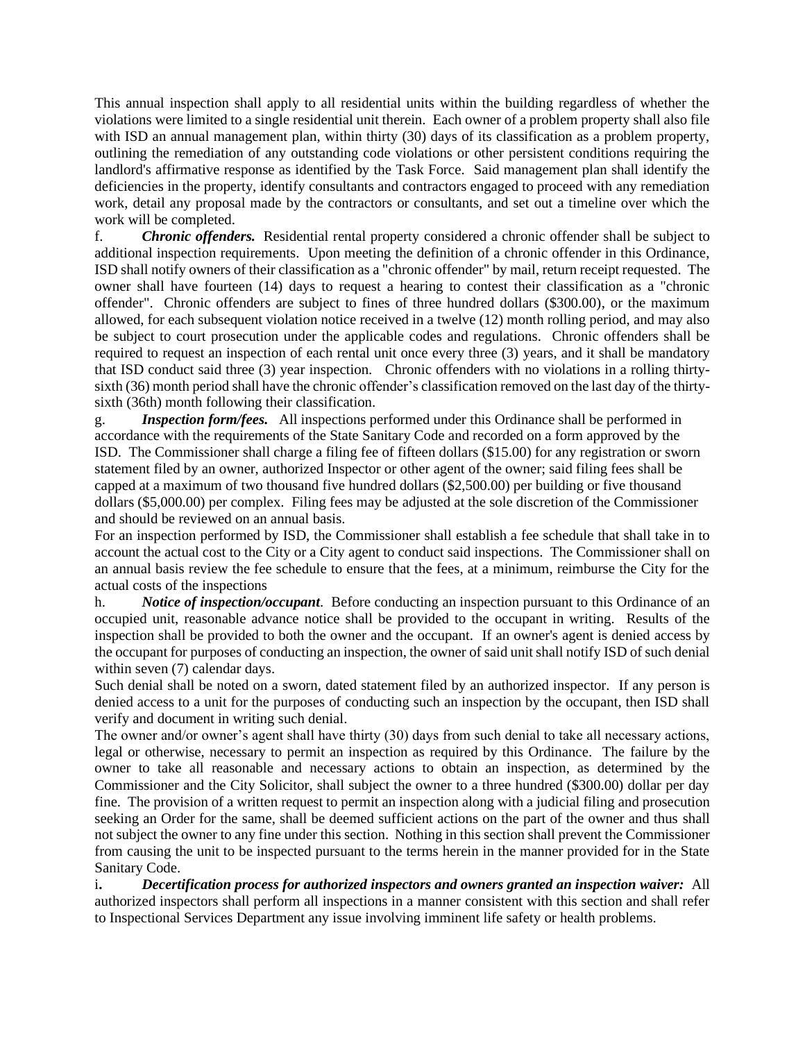This annual inspection shall apply to all residential units within the building regardless of whether the violations were limited to a single residential unit therein. Each owner of a problem property shall also file with ISD an annual management plan, within thirty (30) days of its classification as a problem property, outlining the remediation of any outstanding code violations or other persistent conditions requiring the landlord's affirmative response as identified by the Task Force. Said management plan shall identify the deficiencies in the property, identify consultants and contractors engaged to proceed with any remediation work, detail any proposal made by the contractors or consultants, and set out a timeline over which the work will be completed.

f. *Chronic offenders.* Residential rental property considered a chronic offender shall be subject to additional inspection requirements. Upon meeting the definition of a chronic offender in this Ordinance, ISD shall notify owners of their classification as a "chronic offender" by mail, return receipt requested. The owner shall have fourteen (14) days to request a hearing to contest their classification as a "chronic offender". Chronic offenders are subject to fines of three hundred dollars (\$300.00), or the maximum allowed, for each subsequent violation notice received in a twelve (12) month rolling period, and may also be subject to court prosecution under the applicable codes and regulations. Chronic offenders shall be required to request an inspection of each rental unit once every three (3) years, and it shall be mandatory that ISD conduct said three (3) year inspection. Chronic offenders with no violations in a rolling thirtysixth (36) month period shall have the chronic offender's classification removed on the last day of the thirtysixth (36th) month following their classification.

g. *Inspection form/fees.* All inspections performed under this Ordinance shall be performed in accordance with the requirements of the State Sanitary Code and recorded on a form approved by the ISD. The Commissioner shall charge a filing fee of fifteen dollars (\$15.00) for any registration or sworn statement filed by an owner, authorized Inspector or other agent of the owner; said filing fees shall be capped at a maximum of two thousand five hundred dollars (\$2,500.00) per building or five thousand dollars (\$5,000.00) per complex. Filing fees may be adjusted at the sole discretion of the Commissioner and should be reviewed on an annual basis.

For an inspection performed by ISD, the Commissioner shall establish a fee schedule that shall take in to account the actual cost to the City or a City agent to conduct said inspections. The Commissioner shall on an annual basis review the fee schedule to ensure that the fees, at a minimum, reimburse the City for the actual costs of the inspections

h. *Notice of inspection/occupant*. Before conducting an inspection pursuant to this Ordinance of an occupied unit, reasonable advance notice shall be provided to the occupant in writing. Results of the inspection shall be provided to both the owner and the occupant. If an owner's agent is denied access by the occupant for purposes of conducting an inspection, the owner of said unit shall notify ISD of such denial within seven (7) calendar days.

Such denial shall be noted on a sworn, dated statement filed by an authorized inspector. If any person is denied access to a unit for the purposes of conducting such an inspection by the occupant, then ISD shall verify and document in writing such denial.

The owner and/or owner's agent shall have thirty (30) days from such denial to take all necessary actions, legal or otherwise, necessary to permit an inspection as required by this Ordinance. The failure by the owner to take all reasonable and necessary actions to obtain an inspection, as determined by the Commissioner and the City Solicitor, shall subject the owner to a three hundred (\$300.00) dollar per day fine. The provision of a written request to permit an inspection along with a judicial filing and prosecution seeking an Order for the same, shall be deemed sufficient actions on the part of the owner and thus shall not subject the owner to any fine under this section. Nothing in this section shall prevent the Commissioner from causing the unit to be inspected pursuant to the terms herein in the manner provided for in the State Sanitary Code.

i**.** *Decertification process for authorized inspectors and owners granted an inspection waiver:* All authorized inspectors shall perform all inspections in a manner consistent with this section and shall refer to Inspectional Services Department any issue involving imminent life safety or health problems.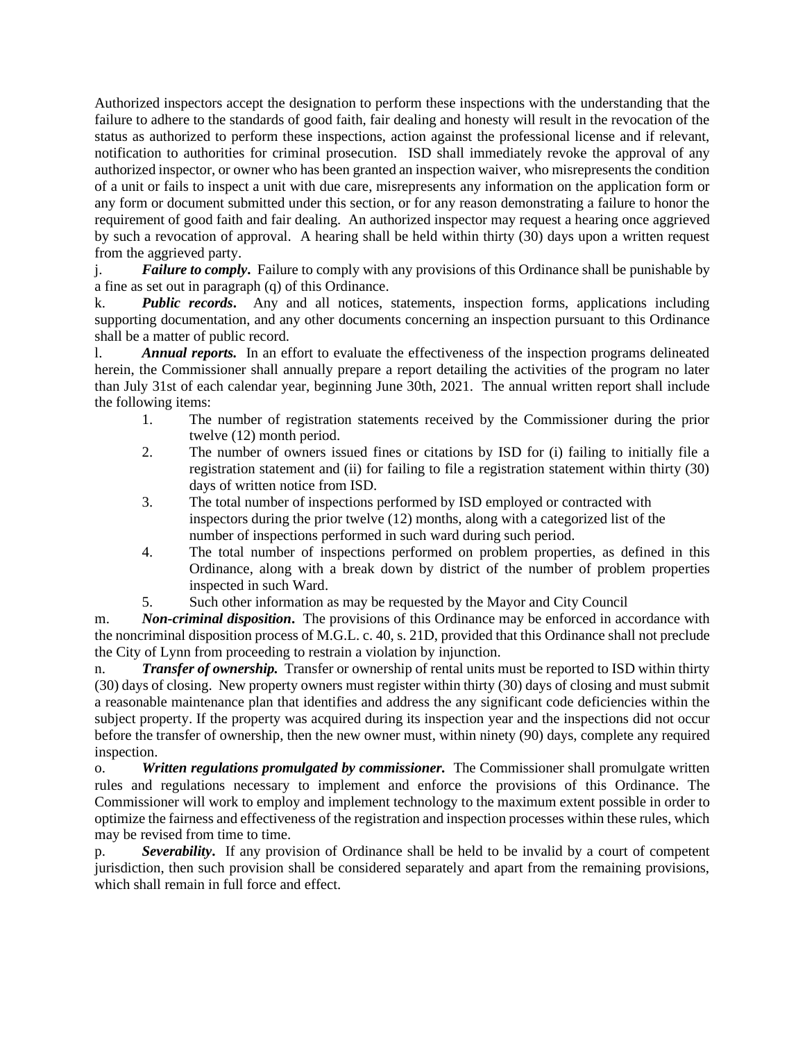Authorized inspectors accept the designation to perform these inspections with the understanding that the failure to adhere to the standards of good faith, fair dealing and honesty will result in the revocation of the status as authorized to perform these inspections, action against the professional license and if relevant, notification to authorities for criminal prosecution. ISD shall immediately revoke the approval of any authorized inspector, or owner who has been granted an inspection waiver, who misrepresents the condition of a unit or fails to inspect a unit with due care, misrepresents any information on the application form or any form or document submitted under this section, or for any reason demonstrating a failure to honor the requirement of good faith and fair dealing. An authorized inspector may request a hearing once aggrieved by such a revocation of approval. A hearing shall be held within thirty (30) days upon a written request from the aggrieved party.

j. *Failure to comply***.** Failure to comply with any provisions of this Ordinance shall be punishable by a fine as set out in paragraph (q) of this Ordinance.

k. *Public records***.** Any and all notices, statements, inspection forms, applications including supporting documentation, and any other documents concerning an inspection pursuant to this Ordinance shall be a matter of public record.

l. *Annual reports.* In an effort to evaluate the effectiveness of the inspection programs delineated herein, the Commissioner shall annually prepare a report detailing the activities of the program no later than July 31st of each calendar year, beginning June 30th, 2021. The annual written report shall include the following items:

- 1. The number of registration statements received by the Commissioner during the prior twelve (12) month period.
- 2. The number of owners issued fines or citations by ISD for (i) failing to initially file a registration statement and (ii) for failing to file a registration statement within thirty (30) days of written notice from ISD.
- 3. The total number of inspections performed by ISD employed or contracted with inspectors during the prior twelve (12) months, along with a categorized list of the number of inspections performed in such ward during such period.
- 4. The total number of inspections performed on problem properties, as defined in this Ordinance, along with a break down by district of the number of problem properties inspected in such Ward.
- 5. Such other information as may be requested by the Mayor and City Council

m. *Non-criminal disposition***.** The provisions of this Ordinance may be enforced in accordance with the noncriminal disposition process of M.G.L. c. 40, s. 21D, provided that this Ordinance shall not preclude the City of Lynn from proceeding to restrain a violation by injunction.

n. *Transfer of ownership.* Transfer or ownership of rental units must be reported to ISD within thirty (30) days of closing. New property owners must register within thirty (30) days of closing and must submit a reasonable maintenance plan that identifies and address the any significant code deficiencies within the subject property. If the property was acquired during its inspection year and the inspections did not occur before the transfer of ownership, then the new owner must, within ninety (90) days, complete any required inspection.

o. *Written regulations promulgated by commissioner.* The Commissioner shall promulgate written rules and regulations necessary to implement and enforce the provisions of this Ordinance. The Commissioner will work to employ and implement technology to the maximum extent possible in order to optimize the fairness and effectiveness of the registration and inspection processes within these rules, which may be revised from time to time.

p. *Severability***.** If any provision of Ordinance shall be held to be invalid by a court of competent jurisdiction, then such provision shall be considered separately and apart from the remaining provisions, which shall remain in full force and effect.